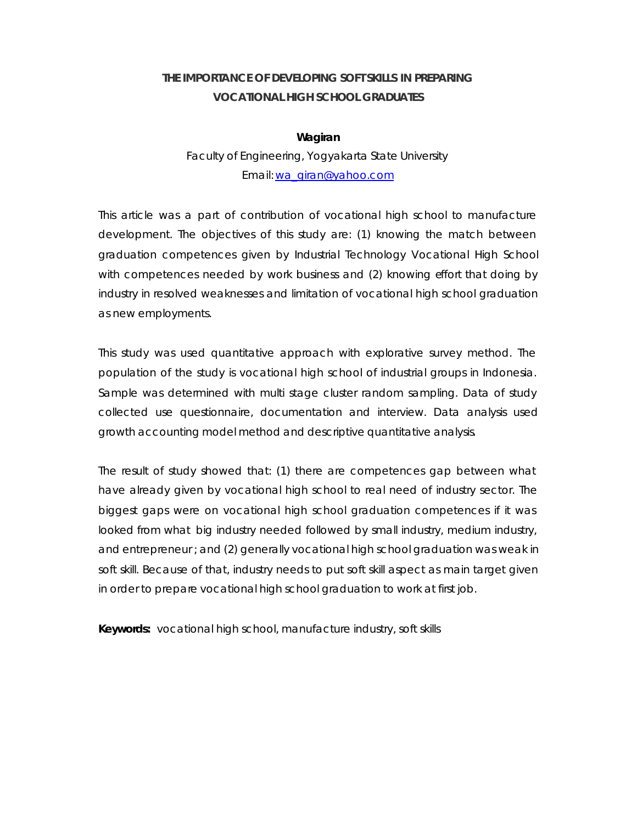# **THE IMPORTANCE OF DEVELOPING SOFT SKILLS IN PREPARING VOCATIONAL HIGH SCHOOL GRADUATES**

#### **Wagiran**

## Faculty of Engineering, Yogyakarta State University Email: wa\_giran@yahoo.com

This article was a part of contribution of vocational high school to manufacture development. The objectives of this study are: (1) knowing the match between graduation competences given by Industrial Technology Vocational High School with competences needed by work business and (2) knowing effort that doing by industry in resolved weaknesses and limitation of vocational high school graduation as new employments.

This study was used quantitative approach with explorative survey method. The population of the study is vocational high school of industrial groups in Indonesia. Sample was determined with multi stage cluster random sampling. Data of study collected use questionnaire, documentation and interview. Data analysis used growth accounting model method and descriptive quantitative analysis.

The result of study showed that: (1) there are competences gap between what have already given by vocational high school to real need of industry sector. The biggest gaps were on vocational high school graduation competences if it was looked from what big industry needed followed by small industry, medium industry, and entrepreneur ; and (2) generally vocational high school graduation was weak in soft skill. Because of that, industry needs to put soft skill aspect as main target given in order to prepare vocational high school graduation to work at first job.

**Keywords:** vocational high school, manufacture industry, soft skills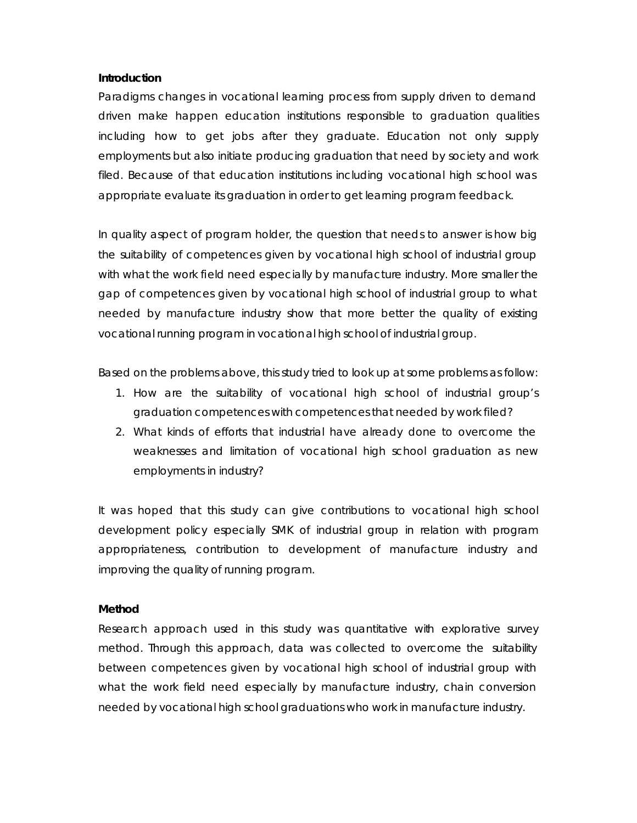#### **Introduction**

Paradigms changes in vocational learning process from supply driven to demand driven make happen education institutions responsible to graduation qualities including how to get jobs after they graduate. Education not only supply employments but also initiate producing graduation that need by society and work filed. Because of that education institutions including vocational high school was appropriate evaluate its graduation in order to get learning program feedback.

In quality aspect of program holder, the question that needs to answer is how big the suitability of competences given by vocational high school of industrial group with what the work field need especially by manufacture industry. More smaller the gap of competences given by vocational high school of industrial group to what needed by manufacture industry show that more better the quality of existing vocational running program in vocational high school of industrial group.

Based on the problems above, this study tried to look up at some problems as follow:

- 1. How are the suitability of vocational high school of industrial group's graduation competences with competences that needed by work filed?
- 2. What kinds of efforts that industrial have already done to overcome the weaknesses and limitation of vocational high school graduation as new employments in industry?

It was hoped that this study can give contributions to vocational high school development policy especially SMK of industrial group in relation with program appropriateness, contribution to development of manufacture industry and improving the quality of running program.

### **Method**

Research approach used in this study was quantitative with explorative survey method. Through this approach, data was collected to overcome the suitability between competences given by vocational high school of industrial group with what the work field need especially by manufacture industry, chain conversion needed by vocational high school graduations who work in manufacture industry.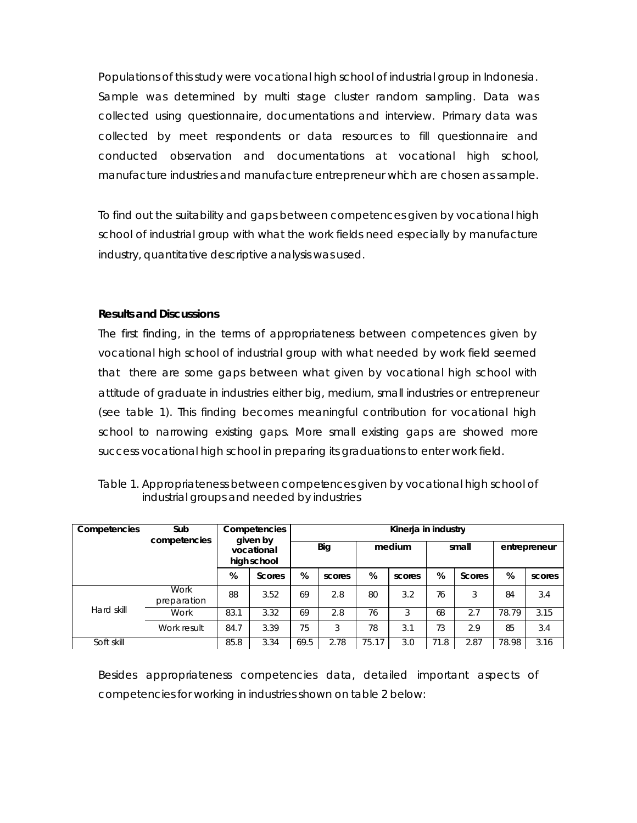Populations of this study were vocational high school of industrial group in Indonesia. Sample was determined by multi stage cluster random sampling. Data was collected using questionnaire, documentations and interview. Primary data was collected by meet respondents or data resources to fill questionnaire and conducted observation and documentations at vocational high school, manufacture industries and manufacture entrepreneur which are chosen as sample.

To find out the suitability and gaps between competences given by vocational high school of industrial group with what the work fields need especially by manufacture industry, quantitative descriptive analysis was used.

### **Results and Discussions**

The first finding, in the terms of appropriateness between competences given by vocational high school of industrial group with what needed by work field seemed that there are some gaps between what given by vocational high school with attitude of graduate in industries either big, medium, small industries or entrepreneur (see table 1). This finding becomes meaningful contribution for vocational high school to narrowing existing gaps. More small existing gaps are showed more success vocational high school in preparing its graduations to enter work field.

|                                            | Table 1. Appropriateness between competences given by vocational high school of |
|--------------------------------------------|---------------------------------------------------------------------------------|
| industrial groups and needed by industries |                                                                                 |

| Competencies | Sub                        | Competencies<br>given by<br>vocational<br>high school |               | Kinerja in industry |        |        |        |       |               |              |        |
|--------------|----------------------------|-------------------------------------------------------|---------------|---------------------|--------|--------|--------|-------|---------------|--------------|--------|
|              | competencies               |                                                       |               | <b>Big</b>          |        | medium |        | small |               | entrepreneur |        |
|              |                            | %                                                     | <b>Scores</b> | %                   | scores | %      | scores | %     | <b>Scores</b> | %            | scores |
|              | <b>Work</b><br>preparation | 88                                                    | 3.52          | 69                  | 2.8    | 80     | 3.2    | 76    | 3             | 84           | 3.4    |
| Hard skill   | Work                       | 83.1                                                  | 3.32          | 69                  | 2.8    | 76     | 3      | 68    | 2.7           | 78.79        | 3.15   |
|              | Work result                | 84.7                                                  | 3.39          | 75                  | 3      | 78     | 3.1    | 73    | 2.9           | 85           | 3.4    |
| Soft skill   |                            | 85.8                                                  | 3.34          | 69.5                | 2.78   | 75.17  | 3.0    | 71.8  | 2.87          | 78.98        | 3.16   |

Besides appropriateness competencies data, detailed important aspects of competencies for working in industries shown on table 2 below: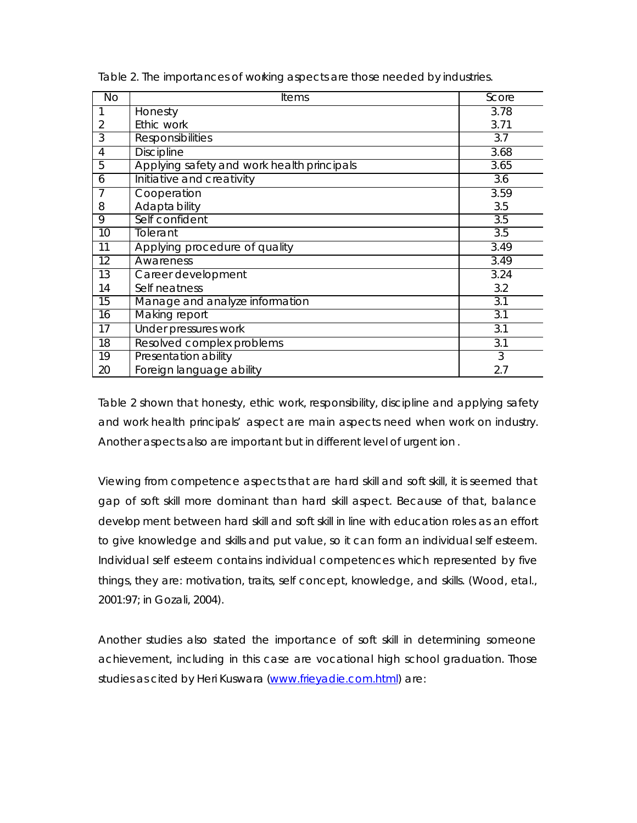| <b>No</b> | <b>Items</b>                               | Score            |
|-----------|--------------------------------------------|------------------|
| 1         | Honesty                                    | 3.78             |
| 2         | Ethic work                                 | 3.71             |
| 3         | <b>Responsibilities</b>                    | 3.7              |
| 4         | <b>Discipline</b>                          | 3.68             |
| 5         | Applying safety and work health principals | 3.65             |
| 6         | Initiative and creativity                  | 3.6              |
| 7         | Cooperation                                | 3.59             |
| 8         | Adapta bility                              | 3.5              |
| 9         | Self confident                             | 3.5              |
| 10        | Tolerant                                   | 3.5              |
| 11        | Applying procedure of quality              | 3.49             |
| 12        | Awareness                                  | 3.49             |
| 13        | Career development                         | 3.24             |
| 14        | Self neatness                              | 3.2              |
| 15        | Manage and analyze information             | 3.1              |
| 16        | Making report                              | 3.1              |
| 17        | Under pressures work                       | 3.1              |
| 18        | Resolved complex problems                  | $\overline{3.1}$ |
| 19        | Presentation ability                       | 3                |
| 20        | Foreign language ability                   | 2.7              |

Table 2. The importances of working aspects are those needed by industries.

Table 2 shown that honesty, ethic work, responsibility, discipline and applying safety and work health principals' aspect are main aspects need when work on industry. Another aspects also are important but in different level of urgent ion .

Viewing from competence aspects that are hard skill and soft skill, it is seemed that gap of soft skill more dominant than hard skill aspect. Because of that, balance develop ment between hard skill and soft skill in line with education roles as an effort to give knowledge and skills and put value, so it can form an individual self esteem. Individual self esteem contains individual competences which represented by five things, they are: motivation, traits, self concept, knowledge, and skills. (Wood, etal., 2001:97; in Gozali, 2004).

Another studies also stated the importance of soft skill in determining someone achievement, including in this case are vocational high school graduation. Those studies as cited by Heri Kuswara (www.frieyadie.com.html) are: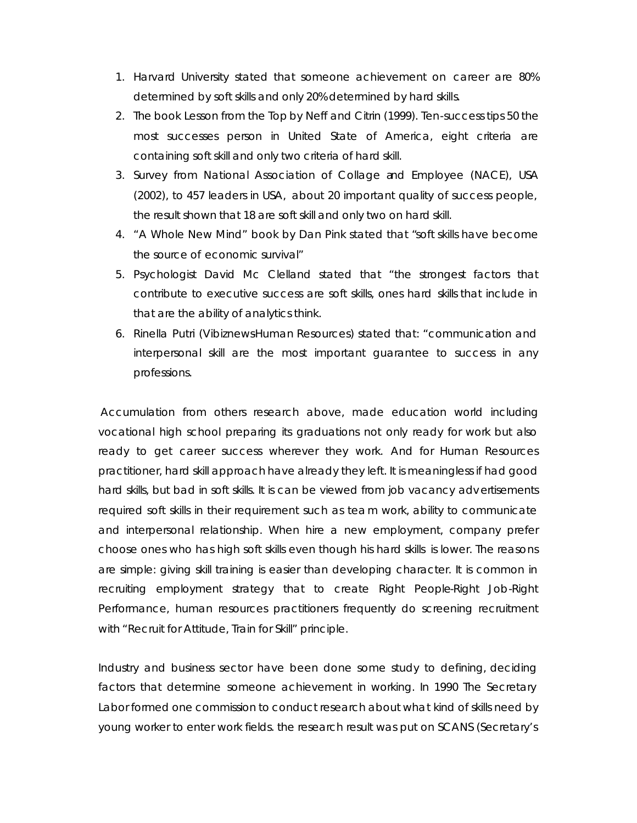- 1. Harvard University stated that someone achievement on career are 80% determined by soft skills and only 20% determined by hard skills.
- 2. The book *Lesson from the Top* by Neff and Citrin (1999). Ten-success tips 50 the most successes person in United State of America, eight criteria are containing soft skill and only two criteria of hard skill.
- 3. Survey from *National Association of Collage and Employee (NACE),* USA (2002), to 457 leaders in USA, about 20 important quality of success people, the result shown that 18 are soft skill and only two on hard skill.
- 4. "A Whole New Mind" book by Dan Pink stated that "*soft skills have become the source of economic survival"*
- 5. Psychologist David Mc Clelland stated that "the strongest factors that contribute to executive success are soft skills, ones hard skills that include in that are the ability of analytics think.
- 6. Rinella Putri (Vibiznews-Human Resources) stated that: "communication and interpersonal skill are the most important guarantee to success in any professions.

Accumulation from others research above, made education world including vocational high school preparing its graduations not only ready for work but also ready to get career success wherever they work. And for Human Resources practitioner, hard skill approach have already they left. It is meaningless if had good hard skills, but bad in soft skills. It is can be viewed from job vacancy advertisements required soft skills in their requirement such as team work, ability to communicate and interpersonal relationship. When hire a new employment, company prefer choose ones who has high soft skills even though his hard skills is lower. The reasons are simple: giving skill training is easier than developing character. It is common in recruiting employment strategy that to create Right People-Right Job-Right Performance, human resources practitioners frequently do screening recruitment with "Recruit for Attitude, Train for Skill" principle.

Industry and business sector have been done some study to defining, deciding factors that determine someone achievement in working. In 1990 The Secretary Labor formed one commission to conduct research about what kind of skills need by young worker to enter work fields. the research result was put on SCANS (Secretary's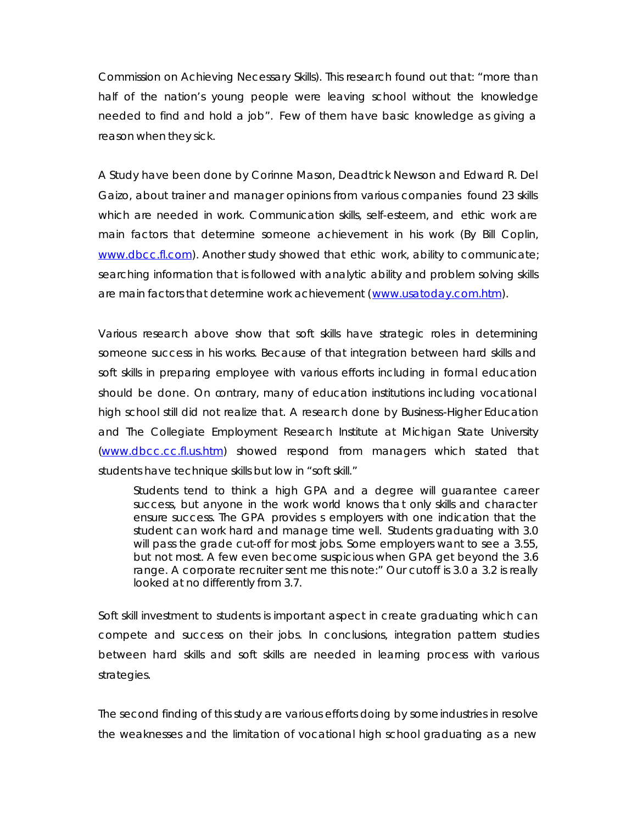Commission on Achieving Necessary Skills). This research found out that: "more than half of the nation's young people were leaving school without the knowledge needed to find and hold a job". Few of them have basic knowledge as giving a reason when they sick.

A Study have been done by Corinne Mason, Deadtrick Newson and Edward R. Del Gaizo, about trainer and manager opinions from various companies found 23 skills which are needed in work. Communication skills, self-esteem, and ethic work are main factors that determine someone achievement in his work (By Bill Coplin, www.dbcc.fl.com). Another study showed that ethic work, ability to communicate; searching information that is followed with analytic ability and problem solving skills are main factors that determine work achievement (www.usatoday.com.htm).

Various research above show that soft skills have strategic roles in determining someone success in his works. Because of that integration between hard skills and soft skills in preparing employee with various efforts including in formal education should be done. On contrary, many of education institutions including vocational high school still did not realize that. A research done by Business-Higher Education and The Collegiate Employment Research Institute at Michigan State University (www.dbcc.cc.fl.us.htm) showed respond from managers which stated that students have technique skills but low in "soft skill."

*Students tend to think a high GPA and a degree will guarantee career success, but anyone in the work world knows that only skills and character ensure success. The GPA provides s employers with one indication that the student can work hard and manage time well. Students graduating with 3.0 will pass the grade cut-off for most jobs. Some employers want to see a 3.55, but not most. A few even become suspicious when GPA get beyond the 3.6 range. A corporate recruiter sent me this note:" Our cutoff is 3.0 a 3.2 is really looked at no differently from 3.7.*

Soft skill investment to students is important aspect in create graduating which can compete and success on their jobs. In conclusions, integration pattern studies between hard skills and soft skills are needed in learning process with various strategies.

The second finding of this study are various efforts doing by some industries in resolve the weaknesses and the limitation of vocational high school graduating as a new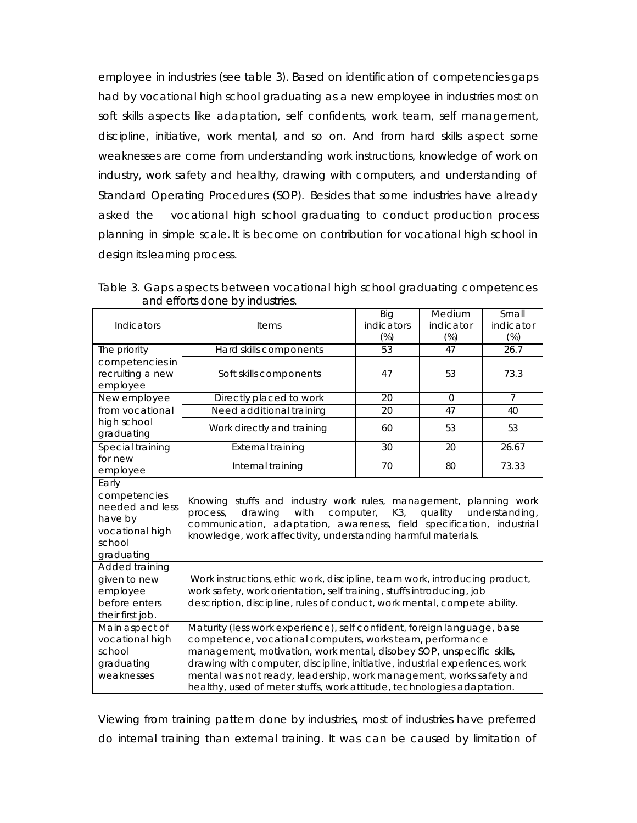employee in industries (see table 3). Based on identification of competencies gaps had by vocational high school graduating as a new employee in industries most on soft skills aspects like adaptation, self confidents, work team, self management, discipline, initiative, work mental, and so on. And from hard skills aspect some weaknesses are come from understanding work instructions, knowledge of work on industry, work safety and healthy, drawing with computers, and understanding of Standard Operating Procedures (SOP). Besides that some industries have already asked the vocational high school graduating to conduct production process planning in simple scale. It is become on contribution for vocational high school in design its learning process.

| Indicators                                                                                     | <b>Items</b>                                                                                                                                                                                                                                                                                                                                                                                                                                 | Big<br>indicators<br>$(\%)$ | Medium<br>indicator<br>$(\%)$ | Small<br>indicator<br>$(\%)$ |  |  |
|------------------------------------------------------------------------------------------------|----------------------------------------------------------------------------------------------------------------------------------------------------------------------------------------------------------------------------------------------------------------------------------------------------------------------------------------------------------------------------------------------------------------------------------------------|-----------------------------|-------------------------------|------------------------------|--|--|
| The priority                                                                                   | Hard skills components                                                                                                                                                                                                                                                                                                                                                                                                                       | 53                          | 47                            | 26.7                         |  |  |
| competencies in<br>recruiting a new<br>employee                                                | Soft skills components                                                                                                                                                                                                                                                                                                                                                                                                                       | 47                          | 53                            | 73.3                         |  |  |
| New employee                                                                                   | Directly placed to work                                                                                                                                                                                                                                                                                                                                                                                                                      | $\overline{20}$             | $\Omega$                      | $\overline{7}$               |  |  |
| from vocational                                                                                | Need additional training                                                                                                                                                                                                                                                                                                                                                                                                                     | 20                          | 47                            | 40                           |  |  |
| high school<br>graduating                                                                      | Work directly and training                                                                                                                                                                                                                                                                                                                                                                                                                   | 60                          | 53                            | 53                           |  |  |
| Special training                                                                               | <b>External training</b>                                                                                                                                                                                                                                                                                                                                                                                                                     | 30                          | 20                            | 26.67                        |  |  |
| for new<br>employee                                                                            | Internal training                                                                                                                                                                                                                                                                                                                                                                                                                            | 70                          | 80                            | 73.33                        |  |  |
| Early<br>competencies<br>needed and less<br>have by<br>vocational high<br>school<br>graduating | Knowing stuffs and industry work rules, management, planning work<br>computer,<br>K3,<br>drawing<br>with<br>quality<br>understanding,<br>process,<br>communication, adaptation, awareness, field specification, industrial<br>knowledge, work affectivity, understanding harmful materials.                                                                                                                                                  |                             |                               |                              |  |  |
| Added training<br>given to new<br>employee<br>before enters<br>their first job.                | Work instructions, ethic work, discipline, team work, introducing product,<br>work safety, work orientation, self training, stuffs introducing, job<br>description, discipline, rules of conduct, work mental, compete ability.                                                                                                                                                                                                              |                             |                               |                              |  |  |
| Main aspect of<br>vocational high<br>school<br>graduating<br>weaknesses                        | Maturity (less work experience), self confident, foreign language, base<br>competence, vocational computers, works team, performance<br>management, motivation, work mental, disobey SOP, unspecific skills,<br>drawing with computer, discipline, initiative, industrial experiences, work<br>mental was not ready, leadership, work management, works safety and<br>healthy, used of meter stuffs, work attitude, technologies adaptation. |                             |                               |                              |  |  |

Table 3. Gaps aspects between vocational high school graduating competences and efforts done by industries. ┯

Viewing from training pattern done by industries, most of industries have preferred do internal training than external training. It was can be caused by limitation of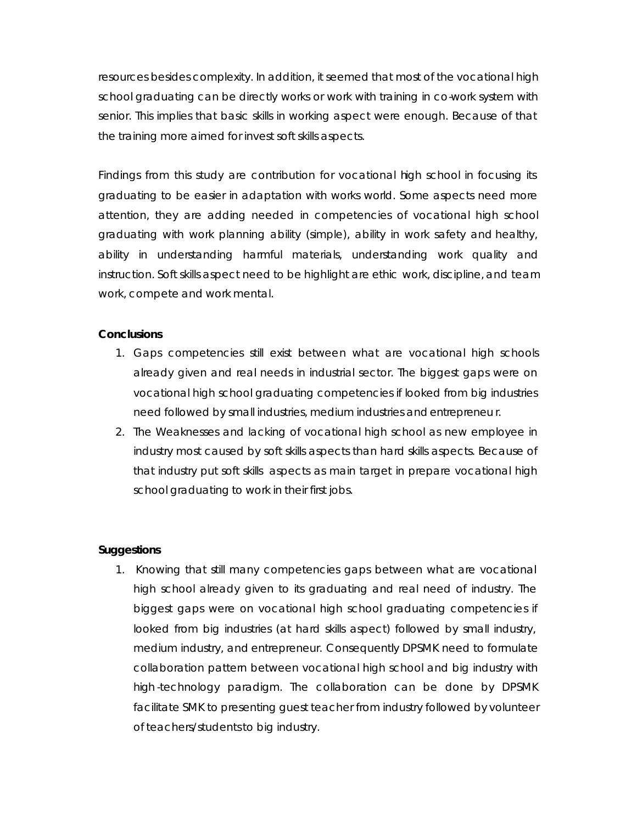resources besides complexity. In addition, it seemed that most of the vocational high school graduating can be directly works or work with training in co-work system with senior. This implies that basic skills in working aspect were enough. Because of that the training more aimed for invest soft skills aspects.

Findings from this study are contribution for vocational high school in focusing its graduating to be easier in adaptation with works world. Some aspects need more attention, they are adding needed in competencies of vocational high school graduating with work planning ability (simple), ability in work safety and healthy, ability in understanding harmful materials, understanding work quality and instruction. Soft skills aspect need to be highlight are ethic work, discipline, and team work, compete and work mental.

### **Conclusions**

- 1. Gaps competencies still exist between what are vocational high schools already given and real needs in industrial sector. The biggest gaps were on vocational high school graduating competencies if looked from big industries need followed by small industries, medium industries and entrepreneu r.
- 2. The Weaknesses and lacking of vocational high school as new employee in industry most caused by soft skills aspects than hard skills aspects. Because of that industry put soft skills aspects as main target in prepare vocational high school graduating to work in their first jobs.

### **Suggestions**

1. Knowing that still many competencies gaps between what are vocational high school already given to its graduating and real need of industry. The biggest gaps were on vocational high school graduating competencies if looked from big industries (at hard skills aspect) followed by small industry, medium industry, and entrepreneur. Consequently DPSMK need to formulate collaboration pattern between vocational high school and big industry with high -technology paradigm. The collaboration can be done by DPSMK facilitate SMK to presenting guest teacher from industry followed by volunteer of teachers/students to big industry.